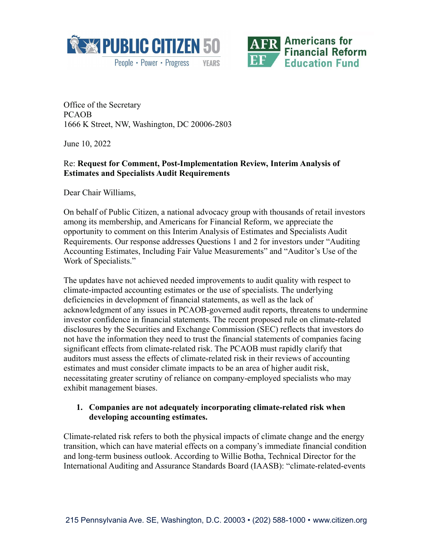



Office of the Secretary PCAOB 1666 K Street, NW, Washington, DC 20006-2803

June 10, 2022

## Re: **Request for Comment, Post-Implementation Review, Interim Analysis of Estimates and Specialists Audit Requirements**

Dear Chair Williams,

On behalf of Public Citizen, a national advocacy group with thousands of retail investors among its membership, and Americans for Financial Reform, we appreciate the opportunity to comment on this Interim Analysis of Estimates and Specialists Audit Requirements. Our response addresses Questions 1 and 2 for investors under "Auditing Accounting Estimates, Including Fair Value Measurements" and "Auditor's Use of the Work of Specialists."

The updates have not achieved needed improvements to audit quality with respect to climate-impacted accounting estimates or the use of specialists. The underlying deficiencies in development of financial statements, as well as the lack of acknowledgment of any issues in PCAOB-governed audit reports, threatens to undermine investor confidence in financial statements. The recent proposed rule on climate-related disclosures by the Securities and Exchange Commission (SEC) reflects that investors do not have the information they need to trust the financial statements of companies facing significant effects from climate-related risk. The PCAOB must rapidly clarify that auditors must assess the effects of climate-related risk in their reviews of accounting estimates and must consider climate impacts to be an area of higher audit risk, necessitating greater scrutiny of reliance on company-employed specialists who may exhibit management biases.

#### **1. Companies are not adequately incorporating climate-related risk when developing accounting estimates.**

Climate-related risk refers to both the physical impacts of climate change and the energy transition, which can have material effects on a company's immediate financial condition and long-term business outlook. According to Willie Botha, Technical Director for the International Auditing and Assurance Standards Board (IAASB): "climate-related-events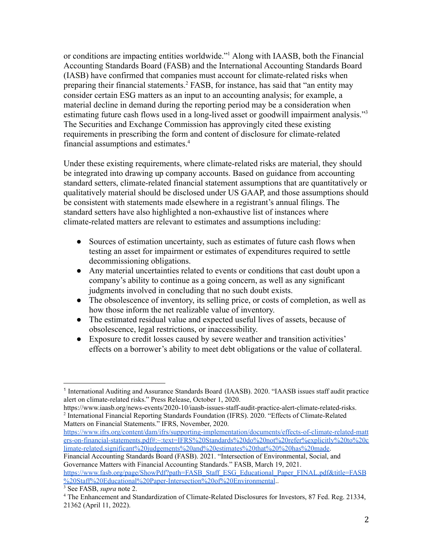or conditions are impacting entities worldwide."<sup>1</sup> Along with IAASB, both the Financial Accounting Standards Board (FASB) and the International Accounting Standards Board (IASB) have confirmed that companies must account for climate-related risks when preparing their financial statements.<sup>2</sup> FASB, for instance, has said that "an entity may consider certain ESG matters as an input to an accounting analysis; for example, a material decline in demand during the reporting period may be a consideration when estimating future cash flows used in a long-lived asset or goodwill impairment analysis."<sup>3</sup> The Securities and Exchange Commission has approvingly cited these existing requirements in prescribing the form and content of disclosure for climate-related financial assumptions and estimates.<sup>4</sup>

Under these existing requirements, where climate-related risks are material, they should be integrated into drawing up company accounts. Based on guidance from accounting standard setters, climate-related financial statement assumptions that are quantitatively or qualitatively material should be disclosed under US GAAP, and those assumptions should be consistent with statements made elsewhere in a registrant's annual filings. The standard setters have also highlighted a non-exhaustive list of instances where climate-related matters are relevant to estimates and assumptions including:

- Sources of estimation uncertainty, such as estimates of future cash flows when testing an asset for impairment or estimates of expenditures required to settle decommissioning obligations.
- Any material uncertainties related to events or conditions that cast doubt upon a company's ability to continue as a going concern, as well as any significant judgments involved in concluding that no such doubt exists.
- The obsolescence of inventory, its selling price, or costs of completion, as well as how those inform the net realizable value of inventory.
- The estimated residual value and expected useful lives of assets, because of obsolescence, legal restrictions, or inaccessibility.
- Exposure to credit losses caused by severe weather and transition activities' effects on a borrower's ability to meet debt obligations or the value of collateral.

[https://www.ifrs.org/content/dam/ifrs/supporting-implementation/documents/effects-of-climate-related-matt](https://www.ifrs.org/content/dam/ifrs/supporting-implementation/documents/effects-of-climate-related-matters-on-financial-statements.pdf#:~:text=IFRS%20Standards%20do%20not%20refer%explicitly%20to%20climate-related,significant%20judgements%20and%20estimates%20that%20%20has%20made) [ers-on-financial-statements.pdf#:~:text=IFRS%20Standards%20do%20not%20refer%explicitly%20to%20c](https://www.ifrs.org/content/dam/ifrs/supporting-implementation/documents/effects-of-climate-related-matters-on-financial-statements.pdf#:~:text=IFRS%20Standards%20do%20not%20refer%explicitly%20to%20climate-related,significant%20judgements%20and%20estimates%20that%20%20has%20made) [limate-related,significant%20judgements%20and%20estimates%20that%20%20has%20made](https://www.ifrs.org/content/dam/ifrs/supporting-implementation/documents/effects-of-climate-related-matters-on-financial-statements.pdf#:~:text=IFRS%20Standards%20do%20not%20refer%explicitly%20to%20climate-related,significant%20judgements%20and%20estimates%20that%20%20has%20made).

Financial Accounting Standards Board (FASB). 2021. "Intersection of Environmental, Social, and Governance Matters with Financial Accounting Standards." FASB, March 19, 2021.

[https://www.fasb.org/page/ShowPdf?path=FASB\\_Staff\\_ESG\\_Educational\\_Paper\\_FINAL.pdf&title=FASB](https://www.fasb.org/page/ShowPdf?path=FASB_Staff_ESG_Educational_Paper_FINAL.pdf&title=FASB%20Staff%20Educational%20Paper-Intersection%20of%20Environmental) [%20Staff%20Educational%20Paper-Intersection%20of%20Environmental](https://www.fasb.org/page/ShowPdf?path=FASB_Staff_ESG_Educational_Paper_FINAL.pdf&title=FASB%20Staff%20Educational%20Paper-Intersection%20of%20Environmental)..

<sup>&</sup>lt;sup>1</sup> International Auditing and Assurance Standards Board (IAASB). 2020. "IAASB issues staff audit practice alert on climate-related risks." Press Release, October 1, 2020.

<sup>&</sup>lt;sup>2</sup> International Financial Reporting Standards Foundation (IFRS). 2020. "Effects of Climate-Related Matters on Financial Statements." IFRS, November, 2020. https://www.iaasb.org/news-events/2020-10/iaasb-issues-staff-audit-practice-alert-climate-related-risks.

<sup>3</sup> See FASB, *supra* note 2.

<sup>4</sup> The Enhancement and Standardization of Climate-Related Disclosures for Investors, 87 Fed. Reg. 21334, 21362 (April 11, 2022).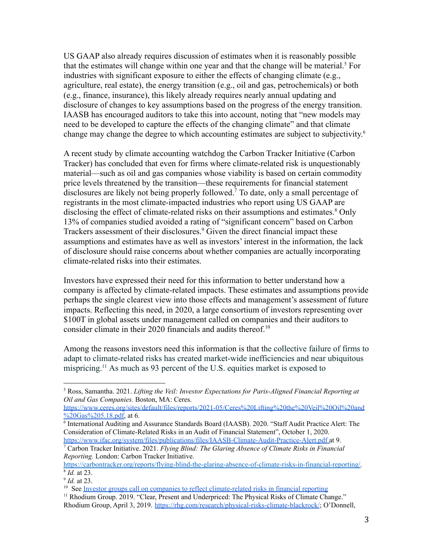US GAAP also already requires discussion of estimates when it is reasonably possible that the estimates will change within one year and that the change will be material.<sup>5</sup> For industries with significant exposure to either the effects of changing climate (e.g., agriculture, real estate), the energy transition (e.g., oil and gas, petrochemicals) or both (e.g., finance, insurance), this likely already requires nearly annual updating and disclosure of changes to key assumptions based on the progress of the energy transition. IAASB has encouraged auditors to take this into account, noting that "new models may need to be developed to capture the effects of the changing climate" and that climate change may change the degree to which accounting estimates are subject to subjectivity. 6

A recent study by climate accounting watchdog the Carbon Tracker Initiative (Carbon Tracker) has concluded that even for firms where climate-related risk is unquestionably material—such as oil and gas companies whose viability is based on certain commodity price levels threatened by the transition—these requirements for financial statement disclosures are likely not being properly followed.<sup>7</sup> To date, only a small percentage of registrants in the most climate-impacted industries who report using US GAAP are disclosing the effect of climate-related risks on their assumptions and estimates.<sup>8</sup> Only 13% of companies studied avoided a rating of "significant concern" based on Carbon Trackers assessment of their disclosures.<sup>9</sup> Given the direct financial impact these assumptions and estimates have as well as investors' interest in the information, the lack of disclosure should raise concerns about whether companies are actually incorporating climate-related risks into their estimates.

Investors have expressed their need for this information to better understand how a company is affected by climate-related impacts. These estimates and assumptions provide perhaps the single clearest view into those effects and management's assessment of future impacts. Reflecting this need, in 2020, a large consortium of investors representing over \$100T in global assets under management called on companies and their auditors to consider climate in their 2020 financials and audits thereof.<sup>10</sup>

Among the reasons investors need this information is that the collective failure of firms to adapt to climate-related risks has created market-wide inefficiencies and near ubiquitous mispricing.<sup>11</sup> As much as 93 percent of the U.S. equities market is exposed to

<sup>5</sup> Ross, Samantha. 2021. *Lifting the Veil: Investor Expectations for Paris-Aligned Financial Reporting at Oil and Gas Companies.* Boston, MA: Ceres.

[https://www.ceres.org/sites/default/files/reports/2021-05/Ceres%20Lifting%20the%20Veil%20Oil%20and](https://www.ceres.org/sites/default/files/reports/2021-05/Ceres%20Lifting%20the%20Veil%20Oil%20and%20Gas%205.18.pdf) [%20Gas%205.18.pdf,](https://www.ceres.org/sites/default/files/reports/2021-05/Ceres%20Lifting%20the%20Veil%20Oil%20and%20Gas%205.18.pdf) at 6.

<sup>6</sup> International Auditing and Assurance Standards Board (IAASB). 2020. "Staff Audit Practice Alert: The Consideration of Climate-Related Risks in an Audit of Financial Statement", October 1, 2020. <https://www.ifac.org/system/files/publications/files/IAASB-Climate-Audit-Practice-Alert.pdf> at 9.

<sup>7</sup> Carbon Tracker Initiative. 2021. *Flying Blind: The Glaring Absence of Climate Risks in Financial Reporting.* London: Carbon Tracker Initiative.

<sup>8</sup> *Id.* at 23. [https://carbontracker.org/reports/flying-blind-the-glaring-absence-of-climate-risks-in-financial-reporting/.](https://carbontracker.org/reports/flying-blind-the-glaring-absence-of-climate-risks-in-financial-reporting/)

<sup>9</sup> *Id.* at 23.

<sup>&</sup>lt;sup>10</sup> See Investor groups call on companies to reflect [climate-related](https://www.unpri.org/accounting-for-climate-change/investor-groups-call-on-companies-to-reflect-climate-related-risks-in-financial-reporting/6432.article) risks in financial reporting

<sup>&</sup>lt;sup>11</sup> Rhodium Group. 2019. "Clear, Present and Underpriced: The Physical Risks of Climate Change." Rhodium Group, April 3, 2019. <https://rhg.com/research/physical-risks-climate-blackrock/>; O'Donnell,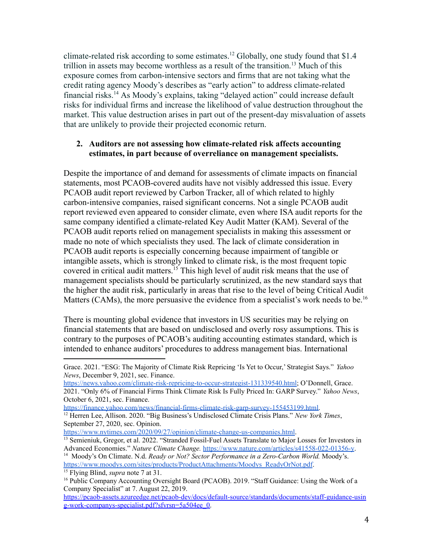climate-related risk according to some estimates.<sup>12</sup> Globally, one study found that \$1.4 trillion in assets may become worthless as a result of the transition.<sup>13</sup> Much of this exposure comes from carbon-intensive sectors and firms that are not taking what the credit rating agency Moody's describes as "early action" to address climate-related financial risks.<sup>14</sup> As Moody's explains, taking "delayed action" could increase default risks for individual firms and increase the likelihood of value destruction throughout the market. This value destruction arises in part out of the present-day misvaluation of assets that are unlikely to provide their projected economic return.

#### **2. Auditors are not assessing how climate-related risk affects accounting estimates, in part because of overreliance on management specialists.**

Despite the importance of and demand for assessments of climate impacts on financial statements, most PCAOB-covered audits have not visibly addressed this issue. Every PCAOB audit report reviewed by Carbon Tracker, all of which related to highly carbon-intensive companies, raised significant concerns. Not a single PCAOB audit report reviewed even appeared to consider climate, even where ISA audit reports for the same company identified a climate-related Key Audit Matter (KAM). Several of the PCAOB audit reports relied on management specialists in making this assessment or made no note of which specialists they used. The lack of climate consideration in PCAOB audit reports is especially concerning because impairment of tangible or intangible assets, which is strongly linked to climate risk, is the most frequent topic covered in critical audit matters.<sup>15</sup> This high level of audit risk means that the use of management specialists should be particularly scrutinized, as the new standard says that the higher the audit risk, particularly in areas that rise to the level of being Critical Audit Matters (CAMs), the more persuasive the evidence from a specialist's work needs to be.<sup>16</sup>

There is mounting global evidence that investors in US securities may be relying on financial statements that are based on undisclosed and overly rosy assumptions. This is contrary to the purposes of PCAOB's auditing accounting estimates standard, which is intended to enhance auditors' procedures to address management bias. International

[https://finance.yahoo.com/news/financial-firms-climate-risk-garp-survey-155453199.html.](https://finance.yahoo.com/news/financial-firms-climate-risk-garp-survey-155453199.html)

<sup>14</sup> Moody's On Climate. N.d. *Ready or Not? Sector Performance in a Zero-Carbon World.* Moody's. [https://www.moodys.com/sites/products/ProductAttachments/Moodys\\_ReadyOrNot.pdf](https://www.moodys.com/sites/products/ProductAttachments/Moodys_ReadyOrNot.pdf).

Grace. 2021. "ESG: The Majority of Climate Risk Repricing 'Is Yet to Occur,' Strategist Says." *Yahoo News*, December 9, 2021, sec. Finance.

[https://news.yahoo.com/climate-risk-repricing-to-occur-strategist-131339540.html;](https://news.yahoo.com/climate-risk-repricing-to-occur-strategist-131339540.html) O'Donnell, Grace. 2021. "Only 6% of Financial Firms Think Climate Risk Is Fully Priced In: GARP Survey." *Yahoo News*, October 6, 2021, sec. Finance.

<sup>12</sup> Herren Lee, Allison. 2020. "Big Business's Undisclosed Climate Crisis Plans." *New York Times*, September 27, 2020, sec. Opinion.

<https://www.nytimes.com/2020/09/27/opinion/climate-change-us-companies.html>.

<sup>&</sup>lt;sup>13</sup> Semieniuk, Gregor, et al. 2022. "Stranded Fossil-Fuel Assets Translate to Major Losses for Investors in Advanced Economies." *Nature Climate Change.* <https://www.nature.com/articles/s41558-022-01356-y>.

<sup>15</sup> Flying Blind, *supra* note 7 at 31.

<sup>&</sup>lt;sup>16</sup> Public Company Accounting Oversight Board (PCAOB). 2019. "Staff Guidance: Using the Work of a Company Specialist" at 7. August 22, 2019.

[https://pcaob-assets.azureedge.net/pcaob-dev/docs/default-source/standards/documents/staff-guidance-usin](https://pcaob-assets.azureedge.net/pcaob-dev/docs/default-source/standards/documents/staff-guidance-using-work-companys-specialist.pdf?sfvrsn=5a504ee_0) [g-work-companys-specialist.pdf?sfvrsn=5a504ee\\_0.](https://pcaob-assets.azureedge.net/pcaob-dev/docs/default-source/standards/documents/staff-guidance-using-work-companys-specialist.pdf?sfvrsn=5a504ee_0)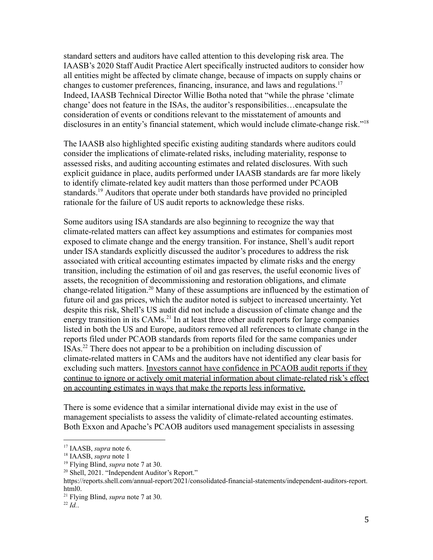standard setters and auditors have called attention to this developing risk area. The IAASB's 2020 Staff Audit Practice Alert specifically instructed auditors to consider how all entities might be affected by climate change, because of impacts on supply chains or changes to customer preferences, financing, insurance, and laws and regulations.<sup>17</sup> Indeed, IAASB Technical Director Willie Botha noted that "while the phrase 'climate change' does not feature in the ISAs, the auditor's responsibilities…encapsulate the consideration of events or conditions relevant to the misstatement of amounts and disclosures in an entity's financial statement, which would include climate-change risk."<sup>18</sup>

The IAASB also highlighted specific existing auditing standards where auditors could consider the implications of climate-related risks, including materiality, response to assessed risks, and auditing accounting estimates and related disclosures. With such explicit guidance in place, audits performed under IAASB standards are far more likely to identify climate-related key audit matters than those performed under PCAOB standards.<sup>19</sup> Auditors that operate under both standards have provided no principled rationale for the failure of US audit reports to acknowledge these risks.

Some auditors using ISA standards are also beginning to recognize the way that climate-related matters can affect key assumptions and estimates for companies most exposed to climate change and the energy transition. For instance, Shell's audit report under ISA standards explicitly discussed the auditor's procedures to address the risk associated with critical accounting estimates impacted by climate risks and the energy transition, including the estimation of oil and gas reserves, the useful economic lives of assets, the recognition of decommissioning and restoration obligations, and climate change-related litigation.<sup>20</sup> Many of these assumptions are influenced by the estimation of future oil and gas prices, which the auditor noted is subject to increased uncertainty. Yet despite this risk, Shell's US audit did not include a discussion of climate change and the energy transition in its CAMs.<sup>21</sup> In at least three other audit reports for large companies listed in both the US and Europe, auditors removed all references to climate change in the reports filed under PCAOB standards from reports filed for the same companies under ISAs.<sup>22</sup> There does not appear to be a prohibition on including discussion of climate-related matters in CAMs and the auditors have not identified any clear basis for excluding such matters. Investors cannot have confidence in PCAOB audit reports if they continue to ignore or actively omit material information about climate-related risk's effect on accounting estimates in ways that make the reports less informative.

There is some evidence that a similar international divide may exist in the use of management specialists to assess the validity of climate-related accounting estimates. Both Exxon and Apache's PCAOB auditors used management specialists in assessing

<sup>17</sup> IAASB, *supra* note 6.

<sup>18</sup> IAASB, *supra* note 1

<sup>19</sup> Flying Blind, *supra* note 7 at 30.

 $20$  Shell, 2021. "Independent Auditor's Report."

https://reports.shell.com/annual-report/2021/consolidated-financial-statements/independent-auditors-report. html0.

<sup>21</sup> Flying Blind, *supra* note 7 at 30.

<sup>22</sup> *Id.*.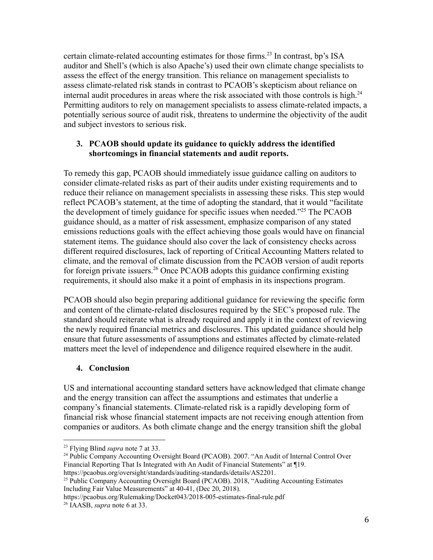certain climate-related accounting estimates for those firms.<sup>23</sup> In contrast, bp's ISA auditor and Shell's (which is also Apache's) used their own climate change specialists to assess the effect of the energy transition. This reliance on management specialists to assess climate-related risk stands in contrast to PCAOB's skepticism about reliance on internal audit procedures in areas where the risk associated with those controls is high.<sup>24</sup> Permitting auditors to rely on management specialists to assess climate-related impacts, a potentially serious source of audit risk, threatens to undermine the objectivity of the audit and subject investors to serious risk.

### **3. PCAOB should update its guidance to quickly address the identified shortcomings in financial statements and audit reports.**

To remedy this gap, PCAOB should immediately issue guidance calling on auditors to consider climate-related risks as part of their audits under existing requirements and to reduce their reliance on management specialists in assessing these risks. This step would reflect PCAOB's statement, at the time of adopting the standard, that it would "facilitate the development of timely guidance for specific issues when needed."<sup>25</sup> The PCAOB guidance should, as a matter of risk assessment, emphasize comparison of any stated emissions reductions goals with the effect achieving those goals would have on financial statement items. The guidance should also cover the lack of consistency checks across different required disclosures, lack of reporting of Critical Accounting Matters related to climate, and the removal of climate discussion from the PCAOB version of audit reports for foreign private issuers.<sup>26</sup> Once PCAOB adopts this guidance confirming existing requirements, it should also make it a point of emphasis in its inspections program.

PCAOB should also begin preparing additional guidance for reviewing the specific form and content of the climate-related disclosures required by the SEC's proposed rule. The standard should reiterate what is already required and apply it in the context of reviewing the newly required financial metrics and disclosures. This updated guidance should help ensure that future assessments of assumptions and estimates affected by climate-related matters meet the level of independence and diligence required elsewhere in the audit.

# **4. Conclusion**

US and international accounting standard setters have acknowledged that climate change and the energy transition can affect the assumptions and estimates that underlie a company's financial statements. Climate-related risk is a rapidly developing form of financial risk whose financial statement impacts are not receiving enough attention from companies or auditors. As both climate change and the energy transition shift the global

https://pcaobus.org/Rulemaking/Docket043/2018-005-estimates-final-rule.pdf

<sup>23</sup> Flying Blind *supra* note 7 at 33.

<sup>&</sup>lt;sup>24</sup> Public Company Accounting Oversight Board (PCAOB). 2007. "An Audit of Internal Control Over Financial Reporting That Is Integrated with An Audit of Financial Statements" at 19. https://pcaobus.org/oversight/standards/auditing-standards/details/AS2201.

<sup>&</sup>lt;sup>25</sup> Public Company Accounting Oversight Board (PCAOB). 2018, "Auditing Accounting Estimates Including Fair Value Measurements" at 40-41, (Dec 20, 2018).

<sup>26</sup> IAASB, *supra* note 6 at 33.